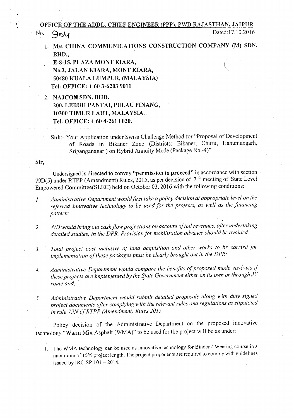## OFFICE OF THE ADDL. CHIEF ENGINEER (PPP), PWD RAJASTHAN, JAIPUR

No. 904

*1. MIs* CHINA COMMUNICATIONS CONSTRUCTION COMPANY (M) SDN. BHD.,  $\overline{\left( \right. }%$ 

E-8-15, PLAZA MONT KIARA, No.2, JALAN KIARA, MONT KIARA, 50480 KUALA LUMPUR, (MALAYSIA) Tel: OFFICE: + 60 3-6203 9011

- 2. NAJCOM SDN. BHD. 200, LEBUH PANTAI, PULAU PINANG,
	- 10300 TIMUR LAUT, MALAYSIA.

Tel: OFFICE: + 60 4-261 0020.

Sub:- Your Application under Swiss Challenge Method for "Proposal of Development of Roads in Bikaner Zone (Districts: Bikaner, Churu, Hanumangarh, Sriganganagar) on Hybrid Annuity Mode (Package No.-4)"

Sir,

Undersigned is directed to convey "permission to proceed" in accordance with section 79D(5) under RTPP (Amendment) Rules, 2015, as per decision of 7<sup>nth</sup> meeting of State Level Empowered Committee(SLEC) held on October 03,2016 with the following conditions:

- *1. Administrative Department would first take a policy decision at appropriate level on the referred innovative technology to be used for the projects. as well as the financing pattern;*
- *2. AID would bring out cash flow projections on account of toll revenues. after undertaking detailed studies. in the DPR. Provision/or mobilization advance should be avoided:*

*3. Total project cos! inclusive 0/ land acquisition and other works to be carried for implementation of these packages must be clearly brought out in the DPR;*

- *.:f. Administrative Department would compare the benefits of proposed mode vis-a-vis if these projects are implemented by the ~!ate Government either on its own or through JV route and;*
- *5. Administrative Department would submit detailed proposals along with duly signed project documents after complying with the relevant rules and regulations as stipulated in rule 79N of RTPP (Amendment) Rules 2015.*

Policy decision of the Administrative Department on the proposed innovative technology "Warm Mix Asphalt (WMA)" to be used for the project will be as under:

1. The WMA technology can be used as innovative technology for Binder / Wearing course in a maximum of 15% project length. The project proponents are required to comply with guidelines issued by IRC SP  $101 - 2014$ .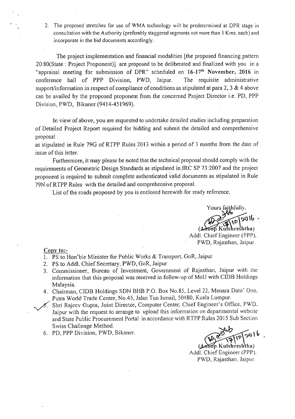2. The proposed stretches for use of WMA technology will be predetermined at DPR stage in consultation with the Authority (preferably staggered segments not more than 5 Kms. each) and incorporate in the bid documents accordingly.

The project implementation and financial modalities [the proposed financing pattern 20:80(State : Project Proponent)] are proposed to be deliberated and finalized with you in a "appraisal meeting for submission of DPR" scheduled on 16-17th November, 2016 in conference hall of PPP Division, PWD, Jaipur. The requisite administrative support/information in respect of compliance of conditions as stipulated at para 2, 3  $\&$  4 above can be availed by the proposed proponent from the concerned Project Director i.e. PO, PPP Division, PWD, Bikaner (9414-451969).

In view of above, you are requested to undertake detailed studies including preparation of Detailed Project Report required for bidding and submit the detailed and comprehensive proposal

as stipulated in Rule 79G of RTPP Rules 2013 within a period of 3 months from the date of issue of this letter.

Furthermore, it may please be noted that the technical proposal should comply with the requirements of Geometric Design Standards as stipulated in IRC SP 73:2007 and the project proponent is required to submit complete authenticated valid documents as stipulated in Rule 79N ofRTPP Rules with the detailed and comprehensive proposal.

List of the roads proposed by you is enclosed herewith for ready reference.

Yours faithfully. (shreshtha Addl. Chief Engineer (PPP).

PWD, Rajasthan, Jaipur.

 $Copy to: -$ 

- 1. PS to Hon'ble Minister for Public Works & Transport, GoR, Jaipur
- 2. PS to Addl. Chief Secretary, PWD, GoR, Jaipur
- 3. Commissioner, Bureau of Investment, Government of Rajasthan, Jaipur with the information that this proposal was received in follow-up of MoU with CIDB Holdings Malaysia.
- 4. Chairman, CIDB Holdings SON BHB P.O. Box No.85, Level 22, Menara Dato' Onn. Putra World Trade Center, No.45, Jalan Tun Ismail, 50480, Kuala Lumpur.
- 5. Shri Rajeev Gupta, Joint Director, Computer Center, Chief Engineer's Office, PWD. Jaipur with the request to arrange to upload this information on departmental website and State Public Procurement Portal in accordance with RTPP Rules 2015 Sub Section Swiss Challenge Method.
- 6. PO, PPP Division, PWD, Bikaner.

 $5016$  $\mathfrak{p}$ 

(Anoop Kulshreshtha) Addl. Chief Engineer (PPP). PWD, Rajasthan, Jaipur.